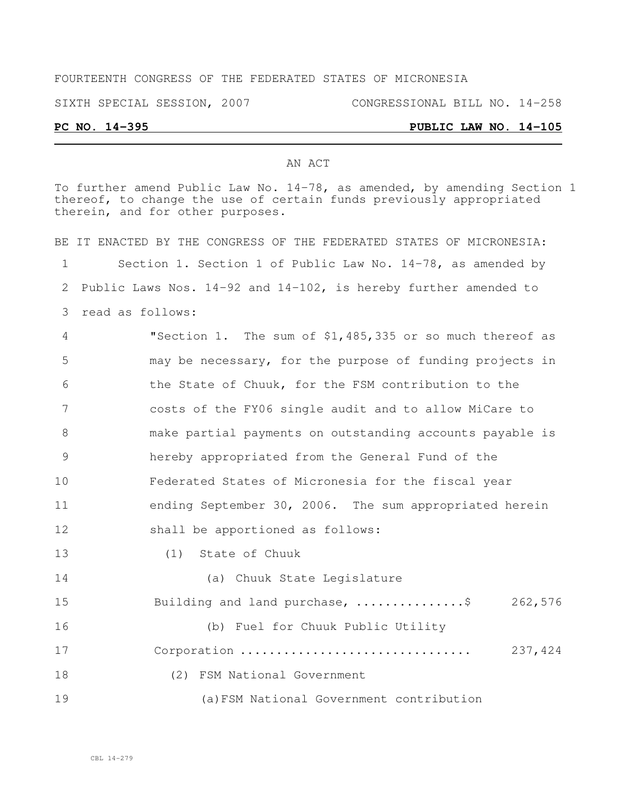### FOURTEENTH CONGRESS OF THE FEDERATED STATES OF MICRONESIA

SIXTH SPECIAL SESSION, 2007 CONGRESSIONAL BILL NO. 14-258

## **PC NO. 14-395 PUBLIC LAW NO. 14-105**

#### AN ACT

To further amend Public Law No. 14-78, as amended, by amending Section 1 thereof, to change the use of certain funds previously appropriated therein, and for other purposes. BE IT ENACTED BY THE CONGRESS OF THE FEDERATED STATES OF MICRONESIA:

 Section 1. Section 1 of Public Law No. 14-78, as amended by Public Laws Nos. 14-92 and 14-102, is hereby further amended to read as follows:

 "Section 1. The sum of \$1,485,335 or so much thereof as may be necessary, for the purpose of funding projects in the State of Chuuk, for the FSM contribution to the costs of the FY06 single audit and to allow MiCare to make partial payments on outstanding accounts payable is hereby appropriated from the General Fund of the Federated States of Micronesia for the fiscal year ending September 30, 2006. The sum appropriated herein shall be apportioned as follows:

(1) State of Chuuk

 (a) Chuuk State Legislature 15 Building and land purchase, .................\$ 262,576 (b) Fuel for Chuuk Public Utility Corporation ................................ 237,424 (2) FSM National Government (a)FSM National Government contribution